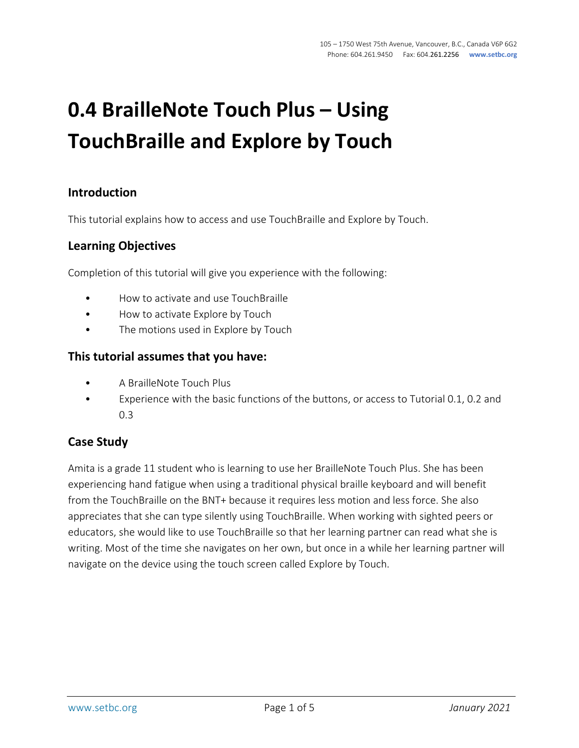# **0.4 BrailleNote Touch Plus – Using TouchBraille and Explore by Touch**

## **Introduction**

This tutorial explains how to access and use TouchBraille and Explore by Touch.

### **Learning Objectives**

Completion of this tutorial will give you experience with the following:

- How to activate and use TouchBraille
- How to activate Explore by Touch
- The motions used in Explore by Touch

#### **This tutorial assumes that you have:**

- A BrailleNote Touch Plus
- Experience with the basic functions of the buttons, or access to Tutorial 0.1, 0.2 and 0.3

### **Case Study**

Amita is a grade 11 student who is learning to use her BrailleNote Touch Plus. She has been experiencing hand fatigue when using a traditional physical braille keyboard and will benefit from the TouchBraille on the BNT+ because it requires less motion and less force. She also appreciates that she can type silently using TouchBraille. When working with sighted peers or educators, she would like to use TouchBraille so that her learning partner can read what she is writing. Most of the time she navigates on her own, but once in a while her learning partner will navigate on the device using the touch screen called Explore by Touch.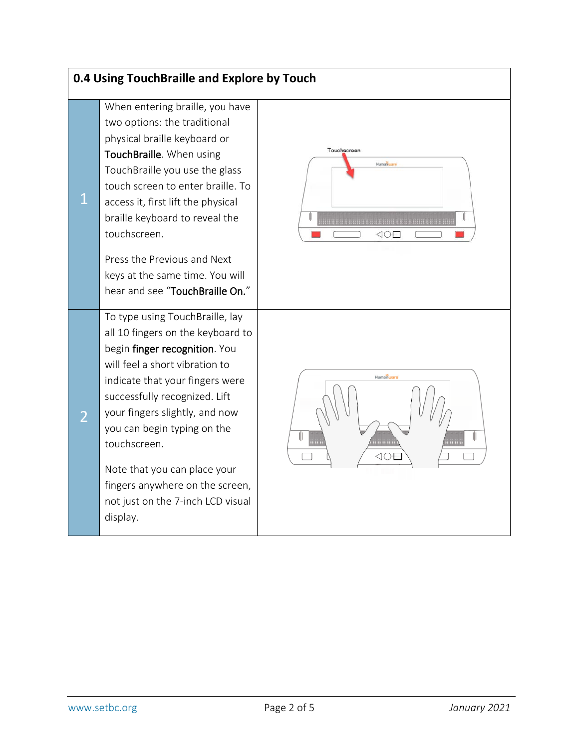| 0.4 Using TouchBraille and Explore by Touch |                                                                                                                                                                                                                                                                                                                                                                                                                  |                                 |  |  |
|---------------------------------------------|------------------------------------------------------------------------------------------------------------------------------------------------------------------------------------------------------------------------------------------------------------------------------------------------------------------------------------------------------------------------------------------------------------------|---------------------------------|--|--|
| $\mathbf{1}$                                | When entering braille, you have<br>two options: the traditional<br>physical braille keyboard or<br>TouchBraille. When using<br>TouchBraille you use the glass<br>touch screen to enter braille. To<br>access it, first lift the physical<br>braille keyboard to reveal the<br>touchscreen.                                                                                                                       | Touchscreen<br>Humanuare<br>⊲⊙⊏ |  |  |
|                                             | Press the Previous and Next<br>keys at the same time. You will<br>hear and see "TouchBraille On."                                                                                                                                                                                                                                                                                                                |                                 |  |  |
|                                             | To type using TouchBraille, lay<br>all 10 fingers on the keyboard to<br>begin finger recognition. You<br>will feel a short vibration to<br>indicate that your fingers were<br>successfully recognized. Lift<br>your fingers slightly, and now<br>you can begin typing on the<br>touchscreen.<br>Note that you can place your<br>fingers anywhere on the screen,<br>not just on the 7-inch LCD visual<br>display. | Humanware                       |  |  |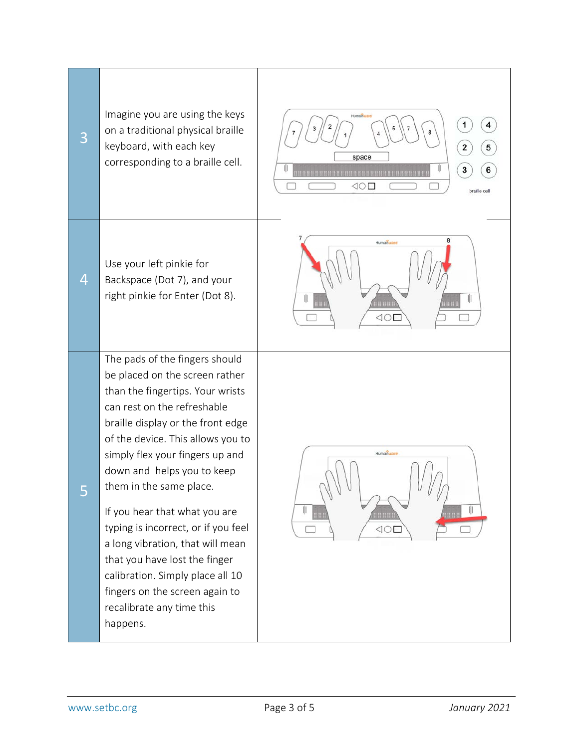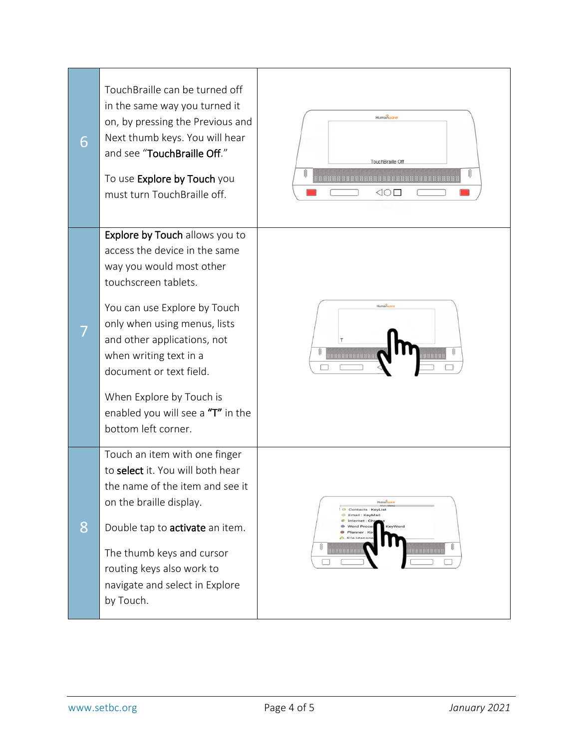| 6 | TouchBraille can be turned off<br>in the same way you turned it<br>on, by pressing the Previous and<br>Next thumb keys. You will hear<br>and see "TouchBraille Off."<br>To use Explore by Touch you<br>must turn TouchBraille off.                                                                                                                              | Humanware<br>TouchBraille Of<br>30 E                                                                                                                        |
|---|-----------------------------------------------------------------------------------------------------------------------------------------------------------------------------------------------------------------------------------------------------------------------------------------------------------------------------------------------------------------|-------------------------------------------------------------------------------------------------------------------------------------------------------------|
|   | Explore by Touch allows you to<br>access the device in the same<br>way you would most other<br>touchscreen tablets.<br>You can use Explore by Touch<br>only when using menus, lists<br>and other applications, not<br>when writing text in a<br>document or text field.<br>When Explore by Touch is<br>enabled you will see a "T" in the<br>bottom left corner. | Humanus                                                                                                                                                     |
| 8 | Touch an item with one finger<br>to select it. You will both hear<br>the name of the item and see it<br>on the braille display.<br>Double tap to activate an item.<br>The thumb keys and cursor<br>routing keys also work to<br>navigate and select in Explore<br>by Touch.                                                                                     | Humanware<br>Contacts : KeyList<br>Email: KeyMail<br>nternet: Ch<br>Word Proce<br>KeyWord<br>Planner: Ke<br>$C.$ File $M_{B}$<br><b>MAHAHHHH</b><br>0000000 |